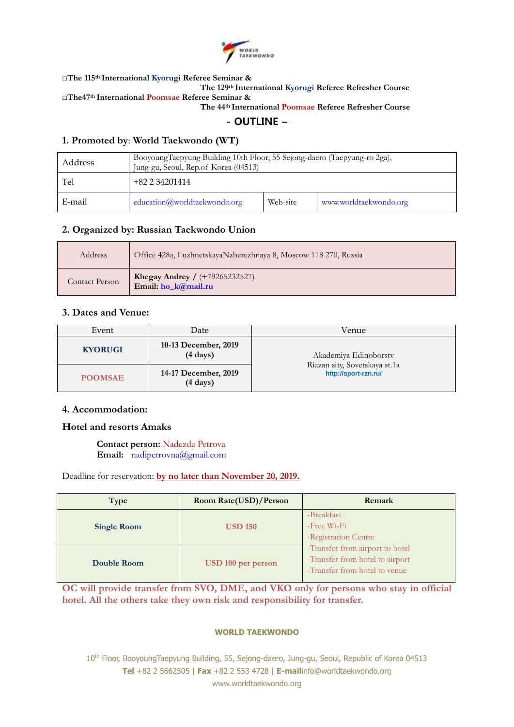

**□The 115 th International Kyorugi Referee Seminar &**

**The 129 th International Kyorugi Referee Refresher Course**

**□The47 th International Poomsae Referee Seminar &**

**The 44 th International Poomsae Referee Refresher Course**

- OUTLINE –

### **1. Promoted by**: **World Taekwondo (WT)**

| Address | BooyoungTaepyung Building 10th Floor, 55 Sejong-daero (Taepyung-ro 2ga),<br>Jung-gu, Seoul, Rep.of Korea (04513) |          |                        |
|---------|------------------------------------------------------------------------------------------------------------------|----------|------------------------|
| Tel     | +82 2 34201414                                                                                                   |          |                        |
| E-mail  | education@worldtaekwondo.org                                                                                     | Web-site | www.worldtaekwondo.org |

### **2. Organized by: Russian Taekwondo Union**

| Address        | Office 428a, LuzhnetskayaNaberezhnaya 8, Moscow 118 270, Russia |
|----------------|-----------------------------------------------------------------|
| Contact Person | <b>Khegay Andrey</b> / $(+79265232527)$<br>Email: ho_k@mail.ru  |

### **3. Dates and Venue:**

| Event          | Date                                       | Venue                                                 |  |
|----------------|--------------------------------------------|-------------------------------------------------------|--|
| <b>KYORUGI</b> | 10-13 December, 2019<br>$(4 \text{ days})$ | Akademiya Edinoborstv                                 |  |
| <b>POOMSAE</b> | 14-17 December, 2019<br>$(4 \text{ days})$ | Riazan sity, Sovetskaya st.1a<br>http://sport-rzn.ru/ |  |

### **4. Accommodation:**

### **Hotel and resorts Amaks**

**Contact person:** Nadezda Petrova **Email:** [nadipetrovna@gmail.com](mailto:nadipetrovna@gmail.com)

Deadline for reservation: **by no later than November 20, 2019.**

| Type               | Room Rate(USD)/Person | Remark                                                                                              |
|--------------------|-----------------------|-----------------------------------------------------------------------------------------------------|
| <b>Single Room</b> | <b>USD 150</b>        | -Breakfast<br>-Free Wi-Fi<br>-Registration Centre                                                   |
| Double Room        | USD 100 per person    | -Transfer from airport to hotel<br>-Transfer from hotel to airport<br>-Transfer from hotel to venue |

**OC will provide transfer from SVO, DME, and VKO only for persons who stay in official hotel. All the others take they own risk and responsibility for transfer.**

#### **WORLD TAEKWONDO**

10<sup>th</sup> Floor, BooyoungTaepyung Building, 55, Sejong-daero, Jung-gu, Seoul, Republic of Korea 04513 **Tel** +82 2 5662505 | **Fax** +82 2 553 4728 | **E-mail**info@worldtaekwondo.org www.worldtaekwondo.org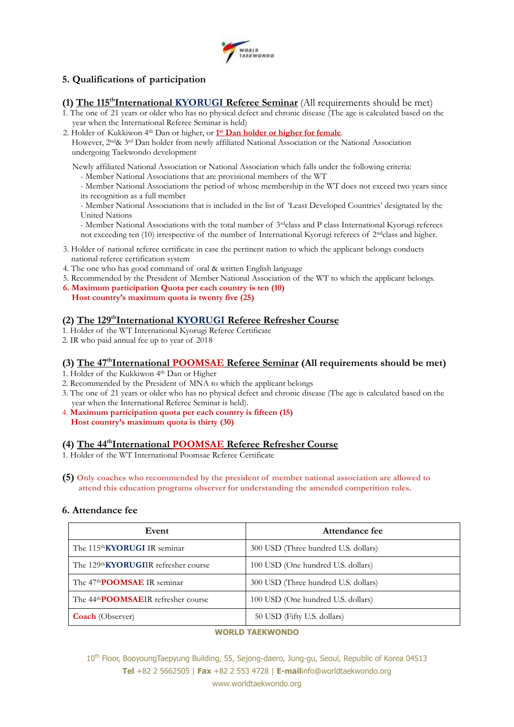

# **5. Qualifications of participation**

(1) The 115<sup>th</sup>International KYORUGI Referee Seminar (All requirements should be met)

- 1. The one of 21 years or older who has no physical defect and chronic disease (The age is calculated based on the year when the International Referee Seminar is held)
- 2. Holder of Kukkiwon 4<sup>th</sup> Dan or higher, or 1<sup>st</sup> Dan holder or higher for female.

However, 2nd& 3rd Dan holder from newly affiliated National Association or the National Association undergoing Taekwondo development

Newly affiliated National Association or National Association which falls under the following criteria: - Member National Associations that are provisional members of the WT

- Member National Associations the period of whose membership in the WT does not exceed two years since its recognition as a full member

- Member National Associations that is included in the list of 'Least Developed Countries' designated by the United Nations

- Member National Associations with the total number of 3rdclass and P class International Kyorugi referees not exceeding ten (10) irrespective of the number of International Kyorugi referees of 2ndclass and higher.

- 3. Holder of national referee certificate in case the pertinent nation to which the applicant belongs conducts national referee certification system
- 4. The one who has good command of oral & written English language
- 5. Recommended by the President of Member National Association of the WT to which the applicant belongs.
- **6. Maximum participation Quota per each country is ten (10) Host country's maximum quota is twenty five (25)**

### **(2) The 129 thInternational KYORUGI Referee Refresher Course**

- 1. Holder of the WT International Kyorugi Referee Certificate
- 2. IR who paid annual fee up to year of 2018

## (3) The 47<sup>th</sup>International POOMSAE Referee Seminar (All requirements should be met)

- 1. Holder of the Kukkiwon 4th Dan or Higher
- 2. Recommended by the President of MNA to which the applicant belongs
- 3. The one of 21 years or older who has no physical defect and chronic disease (The age is calculated based on the year when the International Referee Seminar is held).
- 4. **Maximum participation quota per each country is fifteen (15) Host country's maximum quota is thirty (30)**

### **(4) The 44 thInternational POOMSAE Referee Refresher Course**

- 1. Holder of the WT International Poomsae Referee Certificate
- **(5) Only coaches who recommended by the president of member national association are allowed to attend this education programs observer for understanding the amended competition rules.**

### **6. Attendance fee**

| Event                                            | Attendance fee                       |  |
|--------------------------------------------------|--------------------------------------|--|
| The 115th KYORUGI IR seminar                     | 300 USD (Three hundred U.S. dollars) |  |
| The 129 <sup>th</sup> KYORUGIIR refresher course | 100 USD (One hundred U.S. dollars)   |  |
| The 47 <sup>th</sup> POOMSAE IR seminar          | 300 USD (Three hundred U.S. dollars) |  |
| The 44 <sup>th</sup> POOMSAEIR refresher course  | 100 USD (One hundred U.S. dollars)   |  |
| <b>Coach</b> (Observer)                          | 50 USD (Fifty U.S. dollars)          |  |

#### **WORLD TAEKWONDO**

10th Floor, BooyoungTaepyung Building, 55, Sejong-daero, Jung-gu, Seoul, Republic of Korea 04513 **Tel** +82 2 5662505 | **Fax** +82 2 553 4728 | **E-mail**info@worldtaekwondo.org www.worldtaekwondo.org